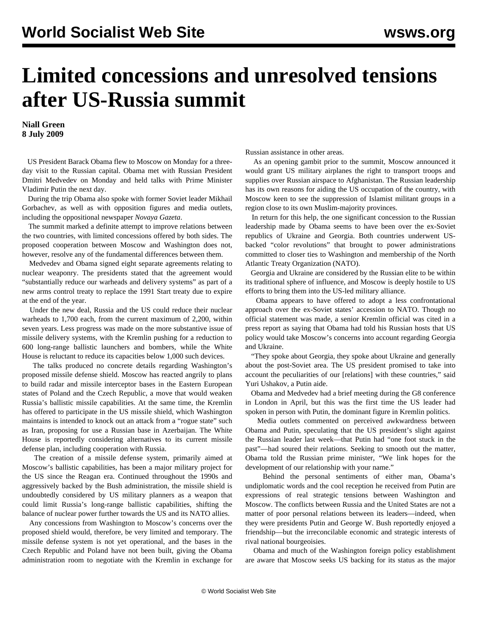## **Limited concessions and unresolved tensions after US-Russia summit**

**Niall Green 8 July 2009**

 US President Barack Obama flew to Moscow on Monday for a threeday visit to the Russian capital. Obama met with Russian President Dmitri Medvedev on Monday and held talks with Prime Minister Vladimir Putin the next day.

 During the trip Obama also spoke with former Soviet leader Mikhail Gorbachev, as well as with opposition figures and media outlets, including the oppositional newspaper *Novaya Gazeta*.

 The summit marked a definite attempt to improve relations between the two countries, with limited concessions offered by both sides. The proposed cooperation between Moscow and Washington does not, however, resolve any of the fundamental differences between them.

 Medvedev and Obama signed eight separate agreements relating to nuclear weaponry. The presidents stated that the agreement would "substantially reduce our warheads and delivery systems" as part of a new arms control treaty to replace the 1991 Start treaty due to expire at the end of the year.

 Under the new deal, Russia and the US could reduce their nuclear warheads to 1,700 each, from the current maximum of 2,200, within seven years. Less progress was made on the more substantive issue of missile delivery systems, with the Kremlin pushing for a reduction to 600 long-range ballistic launchers and bombers, while the White House is reluctant to reduce its capacities below 1,000 such devices.

 The talks produced no concrete details regarding Washington's proposed missile defense shield. Moscow has reacted angrily to plans to build radar and missile interceptor bases in the Eastern European states of Poland and the Czech Republic, a move that would weaken Russia's ballistic missile capabilities. At the same time, the Kremlin has offered to participate in the US missile shield, which Washington maintains is intended to knock out an attack from a "rogue state" such as Iran, proposing for use a Russian base in Azerbaijan. The White House is reportedly considering alternatives to its current missile defense plan, including cooperation with Russia.

 The creation of a missile defense system, primarily aimed at Moscow's ballistic capabilities, has been a major military project for the US since the Reagan era. Continued throughout the 1990s and aggressively backed by the Bush administration, the missile shield is undoubtedly considered by US military planners as a weapon that could limit Russia's long-range ballistic capabilities, shifting the balance of nuclear power further towards the US and its NATO allies.

 Any concessions from Washington to Moscow's concerns over the proposed shield would, therefore, be very limited and temporary. The missile defense system is not yet operational, and the bases in the Czech Republic and Poland have not been built, giving the Obama administration room to negotiate with the Kremlin in exchange for Russian assistance in other areas.

 As an opening gambit prior to the summit, Moscow announced it would grant US military airplanes the right to transport troops and supplies over Russian airspace to Afghanistan. The Russian leadership has its own reasons for aiding the US occupation of the country, with Moscow keen to see the suppression of Islamist militant groups in a region close to its own Muslim-majority provinces.

 In return for this help, the one significant concession to the Russian leadership made by Obama seems to have been over the ex-Soviet republics of Ukraine and Georgia. Both countries underwent USbacked "color revolutions" that brought to power administrations committed to closer ties to Washington and membership of the North Atlantic Treaty Organization (NATO).

 Georgia and Ukraine are considered by the Russian elite to be within its traditional sphere of influence, and Moscow is deeply hostile to US efforts to bring them into the US-led military alliance.

 Obama appears to have offered to adopt a less confrontational approach over the ex-Soviet states' accession to NATO. Though no official statement was made, a senior Kremlin official was cited in a press report as saying that Obama had told his Russian hosts that US policy would take Moscow's concerns into account regarding Georgia and Ukraine.

 "They spoke about Georgia, they spoke about Ukraine and generally about the post-Soviet area. The US president promised to take into account the peculiarities of our [relations] with these countries," said Yuri Ushakov, a Putin aide.

 Obama and Medvedev had a brief meeting during the G8 conference in London in April, but this was the first time the US leader had spoken in person with Putin, the dominant figure in Kremlin politics.

 Media outlets commented on perceived awkwardness between Obama and Putin, speculating that the US president's slight against the Russian leader last week—that Putin had "one foot stuck in the past"—had soured their relations. Seeking to smooth out the matter, Obama told the Russian prime minister, "We link hopes for the development of our relationship with your name."

 Behind the personal sentiments of either man, Obama's undiplomatic words and the cool reception he received from Putin are expressions of real strategic tensions between Washington and Moscow. The conflicts between Russia and the United States are not a matter of poor personal relations between its leaders—indeed, when they were presidents Putin and George W. Bush reportedly enjoyed a friendship—but the irreconcilable economic and strategic interests of rival national bourgeoisies.

 Obama and much of the Washington foreign policy establishment are aware that Moscow seeks US backing for its status as the major